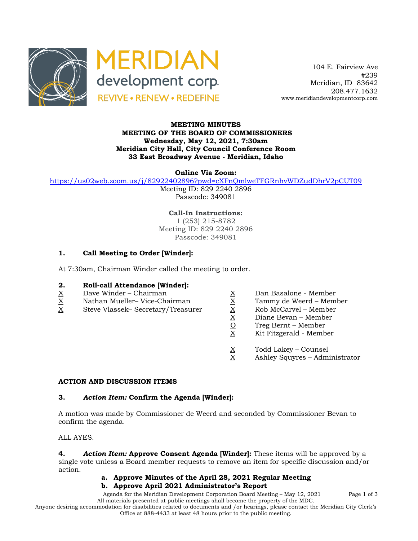



 104 E. Fairview Ave #239 Meridian, ID 83642 208.477.1632 www.meridiandevelopmentcorp.com

### **MEETING MINUTES MEETING OF THE BOARD OF COMMISSIONERS Wednesday, May 12, 2021, 7:30am Meridian City Hall, City Council Conference Room 33 East Broadway Avenue - Meridian, Idaho**

**Online Via Zoom:** 

https://us02web.zoom.us/j/82922402896?pwd=cXFnQmlweTFGRnhvWDZudDhrV2pCUT09

Meeting ID: 829 2240 2896 Passcode: 349081

**Call-In Instructions:** 1 (253) 215-8782 Meeting ID: 829 2240 2896 Passcode: 349081

## **1. Call Meeting to Order [Winder]:**

At 7:30am, Chairman Winder called the meeting to order.

## **2. Roll-call Attendance [Winder]:**

- 
- X Nathan Mueller– Vice-Chairman X Tammy de Weerd Member
- $\begin{array}{lll}\n\underline{X} & \text{Dave Winder} \text{Chairman} \\
\underline{X} & \text{Nathan Mueller} \text{Vice-Chairman} \\
\underline{X} & \text{Steve Vlassek}- \text{Secretary/Treasure} \\
\underline{X} & \text{Rob McCarvel} \text{Member} \\
\underline{X} & \text{Diane Bevan} \text{Member} \\
\underline{X} & \text{Diane Bevan} \text{Member} \\
\underline{X} & \text{Diane Bevan} \text{Member} \\
\underline{X} & \text{Dize Freg Bernt} \text{Member} \\
\underline{X$ Steve Vlassek– Secretary/Treasurer X Rob McCarvel – Member
	-
	-
	-
	- Diane Bevan Member
	- Treg Bernt Member
	- Kit Fitzgerald Member
	- $\frac{X}{X}$  Todd Lakey Counsel<br>X Ashley Squyres Adm
	- Ashley Squyres Administrator

## **ACTION AND DISCUSSION ITEMS**

#### **3.** *Action Item:* **Confirm the Agenda [Winder]:**

A motion was made by Commissioner de Weerd and seconded by Commissioner Bevan to confirm the agenda.

ALL AYES.

**4.** *Action Item:* **Approve Consent Agenda [Winder]:** These items will be approved by a single vote unless a Board member requests to remove an item for specific discussion and/or action.

#### **a. Approve Minutes of the April 28, 2021 Regular Meeting**

#### **b. Approve April 2021 Administrator's Report**

Agenda for the Meridian Development Corporation Board Meeting – May 12, 2021 Page 1 of 3 All materials presented at public meetings shall become the property of the MDC.

Anyone desiring accommodation for disabilities related to documents and /or hearings, please contact the Meridian City Clerk's Office at 888-4433 at least 48 hours prior to the public meeting.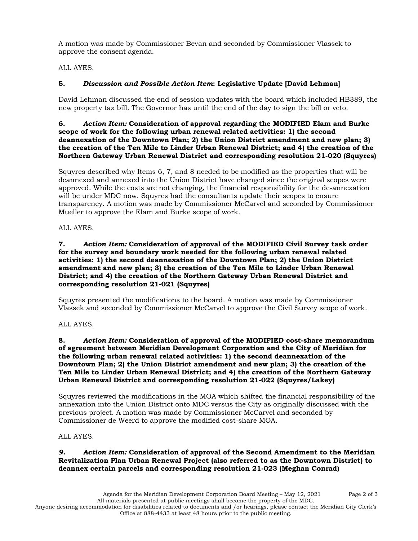A motion was made by Commissioner Bevan and seconded by Commissioner Vlassek to approve the consent agenda.

ALL AYES.

# **5.** *Discussion and Possible Action Item***: Legislative Update [David Lehman]**

David Lehman discussed the end of session updates with the board which included HB389, the new property tax bill. The Governor has until the end of the day to sign the bill or veto.

#### **6.** *Action Item:* **Consideration of approval regarding the MODIFIED Elam and Burke scope of work for the following urban renewal related activities: 1) the second deannexation of the Downtown Plan; 2) the Union District amendment and new plan; 3) the creation of the Ten Mile to Linder Urban Renewal District; and 4) the creation of the Northern Gateway Urban Renewal District and corresponding resolution 21-020 (Squyres)**

Squyres described why Items 6, 7, and 8 needed to be modified as the properties that will be deannexed and annexed into the Union District have changed since the original scopes were approved. While the costs are not changing, the financial responsibility for the de-annexation will be under MDC now. Squyres had the consultants update their scopes to ensure transparency. A motion was made by Commissioner McCarvel and seconded by Commissioner Mueller to approve the Elam and Burke scope of work.

ALL AYES.

#### **7.** *Action Item:* **Consideration of approval of the MODIFIED Civil Survey task order for the survey and boundary work needed for the following urban renewal related activities: 1) the second deannexation of the Downtown Plan; 2) the Union District amendment and new plan; 3) the creation of the Ten Mile to Linder Urban Renewal District; and 4) the creation of the Northern Gateway Urban Renewal District and corresponding resolution 21-021 (Squyres)**

Squyres presented the modifications to the board. A motion was made by Commissioner Vlassek and seconded by Commissioner McCarvel to approve the Civil Survey scope of work.

ALL AYES.

#### **8.** *Action Item:* **Consideration of approval of the MODIFIED cost-share memorandum of agreement between Meridian Development Corporation and the City of Meridian for the following urban renewal related activities: 1) the second deannexation of the Downtown Plan; 2) the Union District amendment and new plan; 3) the creation of the Ten Mile to Linder Urban Renewal District; and 4) the creation of the Northern Gateway Urban Renewal District and corresponding resolution 21-022 (Squyres/Lakey)**

Squyres reviewed the modifications in the MOA which shifted the financial responsibility of the annexation into the Union District onto MDC versus the City as originally discussed with the previous project. A motion was made by Commissioner McCarvel and seconded by Commissioner de Weerd to approve the modified cost-share MOA.

# ALL AYES.

## *9. Action Item:* **Consideration of approval of the Second Amendment to the Meridian Revitalization Plan Urban Renewal Project (also referred to as the Downtown District) to deannex certain parcels and corresponding resolution 21-023 (Meghan Conrad)**